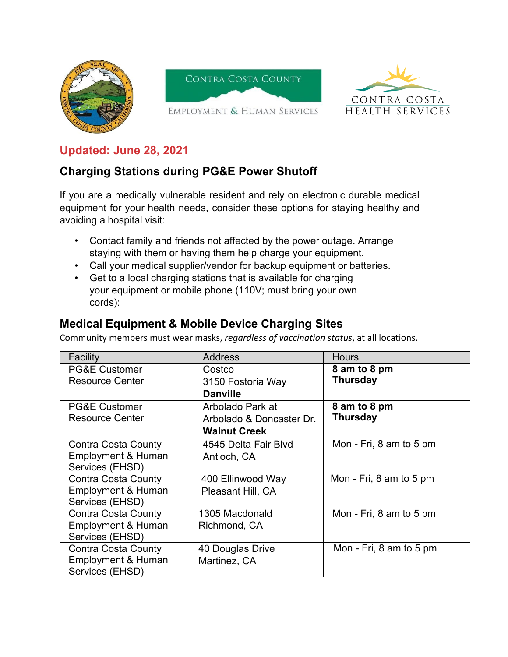

## **Updated: June 28, 2021**

## **Charging Stations during PG&E Power Shutoff**

If you are a medically vulnerable resident and rely on electronic durable medical equipment for your health needs, consider these options for staying healthy and avoiding a hospital visit:

- Contact family and friends not affected by the power outage. Arrange staying with them or having them help charge your equipment.
- Call your medical supplier/vendor for backup equipment or batteries.
- Get to a local charging stations that is available for charging your equipment or mobile phone (110V; must bring your own cords):

## **Medical Equipment & Mobile Device Charging Sites**

Community members must wear masks, *regardless of vaccination status*, at all locations.

| Facility                      | <b>Address</b>           | <b>Hours</b>            |
|-------------------------------|--------------------------|-------------------------|
| <b>PG&amp;E Customer</b>      | Costco                   | 8 am to 8 pm            |
| <b>Resource Center</b>        | 3150 Fostoria Way        | <b>Thursday</b>         |
|                               | <b>Danville</b>          |                         |
| <b>PG&amp;E Customer</b>      | Arbolado Park at         | 8 am to 8 pm            |
| <b>Resource Center</b>        | Arbolado & Doncaster Dr. | <b>Thursday</b>         |
|                               | <b>Walnut Creek</b>      |                         |
| Contra Costa County           | 4545 Delta Fair Blyd     | Mon - Fri, 8 am to 5 pm |
| <b>Employment &amp; Human</b> | Antioch, CA              |                         |
| Services (EHSD)               |                          |                         |
| <b>Contra Costa County</b>    | 400 Ellinwood Way        | Mon - Fri, 8 am to 5 pm |
| <b>Employment &amp; Human</b> | Pleasant Hill, CA        |                         |
| Services (EHSD)               |                          |                         |
| <b>Contra Costa County</b>    | 1305 Macdonald           | Mon - Fri, 8 am to 5 pm |
| Employment & Human            | Richmond, CA             |                         |
| Services (EHSD)               |                          |                         |
| <b>Contra Costa County</b>    | 40 Douglas Drive         | Mon - Fri, 8 am to 5 pm |
| Employment & Human            | Martinez, CA             |                         |
| Services (EHSD)               |                          |                         |